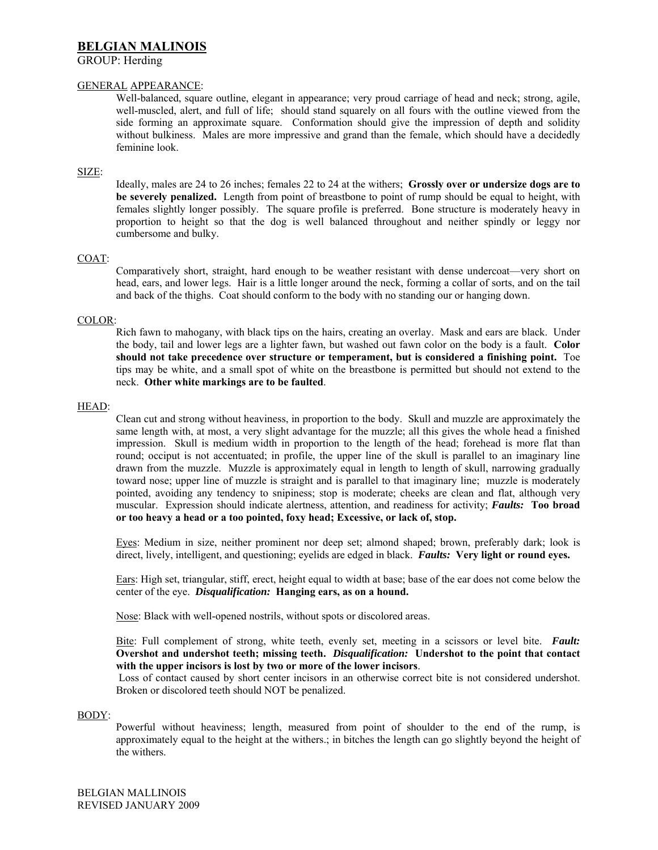# **BELGIAN MALINOIS**

## GROUP: Herding

## GENERAL APPEARANCE:

Well-balanced, square outline, elegant in appearance; very proud carriage of head and neck; strong, agile, well-muscled, alert, and full of life; should stand squarely on all fours with the outline viewed from the side forming an approximate square. Conformation should give the impression of depth and solidity without bulkiness. Males are more impressive and grand than the female, which should have a decidedly feminine look.

## SIZE:

Ideally, males are 24 to 26 inches; females 22 to 24 at the withers; **Grossly over or undersize dogs are to be severely penalized.** Length from point of breastbone to point of rump should be equal to height, with females slightly longer possibly. The square profile is preferred. Bone structure is moderately heavy in proportion to height so that the dog is well balanced throughout and neither spindly or leggy nor cumbersome and bulky.

## COAT:

Comparatively short, straight, hard enough to be weather resistant with dense undercoat—very short on head, ears, and lower legs. Hair is a little longer around the neck, forming a collar of sorts, and on the tail and back of the thighs. Coat should conform to the body with no standing our or hanging down.

### COLOR:

Rich fawn to mahogany, with black tips on the hairs, creating an overlay. Mask and ears are black. Under the body, tail and lower legs are a lighter fawn, but washed out fawn color on the body is a fault. **Color should not take precedence over structure or temperament, but is considered a finishing point.** Toe tips may be white, and a small spot of white on the breastbone is permitted but should not extend to the neck. **Other white markings are to be faulted**.

### HEAD:

Clean cut and strong without heaviness, in proportion to the body. Skull and muzzle are approximately the same length with, at most, a very slight advantage for the muzzle; all this gives the whole head a finished impression. Skull is medium width in proportion to the length of the head; forehead is more flat than round; occiput is not accentuated; in profile, the upper line of the skull is parallel to an imaginary line drawn from the muzzle. Muzzle is approximately equal in length to length of skull, narrowing gradually toward nose; upper line of muzzle is straight and is parallel to that imaginary line; muzzle is moderately pointed, avoiding any tendency to snipiness; stop is moderate; cheeks are clean and flat, although very muscular. Expression should indicate alertness, attention, and readiness for activity; *Faults:* **Too broad or too heavy a head or a too pointed, foxy head; Excessive, or lack of, stop.** 

Eyes: Medium in size, neither prominent nor deep set; almond shaped; brown, preferably dark; look is direct, lively, intelligent, and questioning; eyelids are edged in black. *Faults:* **Very light or round eyes.** 

Ears: High set, triangular, stiff, erect, height equal to width at base; base of the ear does not come below the center of the eye. *Disqualification:* **Hanging ears, as on a hound.** 

Nose: Black with well-opened nostrils, without spots or discolored areas.

Bite: Full complement of strong, white teeth, evenly set, meeting in a scissors or level bite. *Fault:*  **Overshot and undershot teeth; missing teeth.** *Disqualification:* **Undershot to the point that contact with the upper incisors is lost by two or more of the lower incisors**.

 Loss of contact caused by short center incisors in an otherwise correct bite is not considered undershot. Broken or discolored teeth should NOT be penalized.

### BODY:

Powerful without heaviness; length, measured from point of shoulder to the end of the rump, is approximately equal to the height at the withers.; in bitches the length can go slightly beyond the height of the withers.